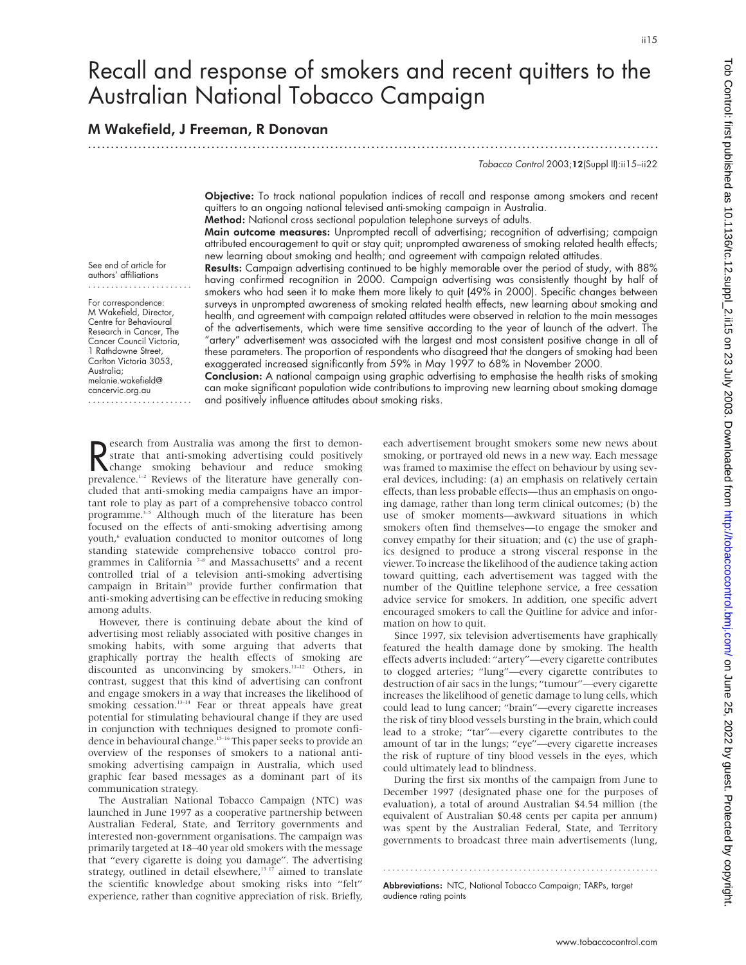# Recall and response of smokers and recent quitters to the Australian National Tobacco Campaign

## M Wakefield, J Freeman, R Donovan

.............................................................................................................................

Tobacco Control 2003;12(Suppl II):ii15–ii22

Objective: To track national population indices of recall and response among smokers and recent quitters to an ongoing national televised anti-smoking campaign in Australia.

Method: National cross sectional population telephone surveys of adults.

Main outcome measures: Unprompted recall of advertising; recognition of advertising; campaign attributed encouragement to quit or stay quit; unprompted awareness of smoking related health effects; new learning about smoking and health; and agreement with campaign related attitudes.

See end of article for authors' affiliations .......................

For correspondence: M Wakefield, Director, Centre for Behavioural Research in Cancer, The Cancer Council Victoria, 1 Rathdowne Street, Carlton Victoria 3053, Australia; melanie.wakefield@ cancervic.org.au .......................

Results: Campaign advertising continued to be highly memorable over the period of study, with 88% having confirmed recognition in 2000. Campaign advertising was consistently thought by half of smokers who had seen it to make them more likely to quit (49% in 2000). Specific changes between surveys in unprompted awareness of smoking related health effects, new learning about smoking and health, and agreement with campaign related attitudes were observed in relation to the main messages of the advertisements, which were time sensitive according to the year of launch of the advert. The "artery" advertisement was associated with the largest and most consistent positive change in all of these parameters. The proportion of respondents who disagreed that the dangers of smoking had been exaggerated increased significantly from 59% in May 1997 to 68% in November 2000.

Conclusion: A national campaign using graphic advertising to emphasise the health risks of smoking can make significant population wide contributions to improving new learning about smoking damage and positively influence attitudes about smoking risks.

Reflection and the first to demonstrate that anti-smoking advertising could positively<br>
change smoking behaviour and reduce smoking<br>
prevalence  $1-2$  Beviews of the literature have generally conesearch from Australia was among the first to demonstrate that anti-smoking advertising could positively prevalence. $1-2$  Reviews of the literature have generally concluded that anti-smoking media campaigns have an important role to play as part of a comprehensive tobacco control programme.<sup>3-5</sup> Although much of the literature has been focused on the effects of anti-smoking advertising among youth,<sup>6</sup> evaluation conducted to monitor outcomes of long standing statewide comprehensive tobacco control programmes in California<sup>7-8</sup> and Massachusetts<sup>9</sup> and a recent controlled trial of a television anti-smoking advertising campaign in Britain<sup>10</sup> provide further confirmation that anti-smoking advertising can be effective in reducing smoking among adults.

However, there is continuing debate about the kind of advertising most reliably associated with positive changes in smoking habits, with some arguing that adverts that graphically portray the health effects of smoking are discounted as unconvincing by smokers.<sup>11-12</sup> Others, in contrast, suggest that this kind of advertising can confront and engage smokers in a way that increases the likelihood of smoking cessation.<sup>13–14</sup> Fear or threat appeals have great potential for stimulating behavioural change if they are used in conjunction with techniques designed to promote confidence in behavioural change.15–16 This paper seeks to provide an overview of the responses of smokers to a national antismoking advertising campaign in Australia, which used graphic fear based messages as a dominant part of its communication strategy.

The Australian National Tobacco Campaign (NTC) was launched in June 1997 as a cooperative partnership between Australian Federal, State, and Territory governments and interested non-government organisations. The campaign was primarily targeted at 18–40 year old smokers with the message that "every cigarette is doing you damage". The advertising strategy, outlined in detail elsewhere,<sup>13 17</sup> aimed to translate the scientific knowledge about smoking risks into "felt" experience, rather than cognitive appreciation of risk. Briefly,

each advertisement brought smokers some new news about smoking, or portrayed old news in a new way. Each message was framed to maximise the effect on behaviour by using several devices, including: (a) an emphasis on relatively certain effects, than less probable effects—thus an emphasis on ongoing damage, rather than long term clinical outcomes; (b) the use of smoker moments—awkward situations in which smokers often find themselves—to engage the smoker and convey empathy for their situation; and (c) the use of graphics designed to produce a strong visceral response in the viewer. To increase the likelihood of the audience taking action toward quitting, each advertisement was tagged with the number of the Quitline telephone service, a free cessation advice service for smokers. In addition, one specific advert encouraged smokers to call the Quitline for advice and information on how to quit.

Since 1997, six television advertisements have graphically featured the health damage done by smoking. The health effects adverts included: "artery"—every cigarette contributes to clogged arteries; "lung"—every cigarette contributes to destruction of air sacs in the lungs; "tumour"—every cigarette increases the likelihood of genetic damage to lung cells, which could lead to lung cancer; "brain"—every cigarette increases the risk of tiny blood vessels bursting in the brain, which could lead to a stroke; "tar"—every cigarette contributes to the amount of tar in the lungs; "eye"—every cigarette increases the risk of rupture of tiny blood vessels in the eyes, which could ultimately lead to blindness.

During the first six months of the campaign from June to December 1997 (designated phase one for the purposes of evaluation), a total of around Australian \$4.54 million (the equivalent of Australian \$0.48 cents per capita per annum) was spent by the Australian Federal, State, and Territory governments to broadcast three main advertisements (lung,

.............................................................

Abbreviations: NTC, National Tobacco Campaign; TARPs, target audience rating points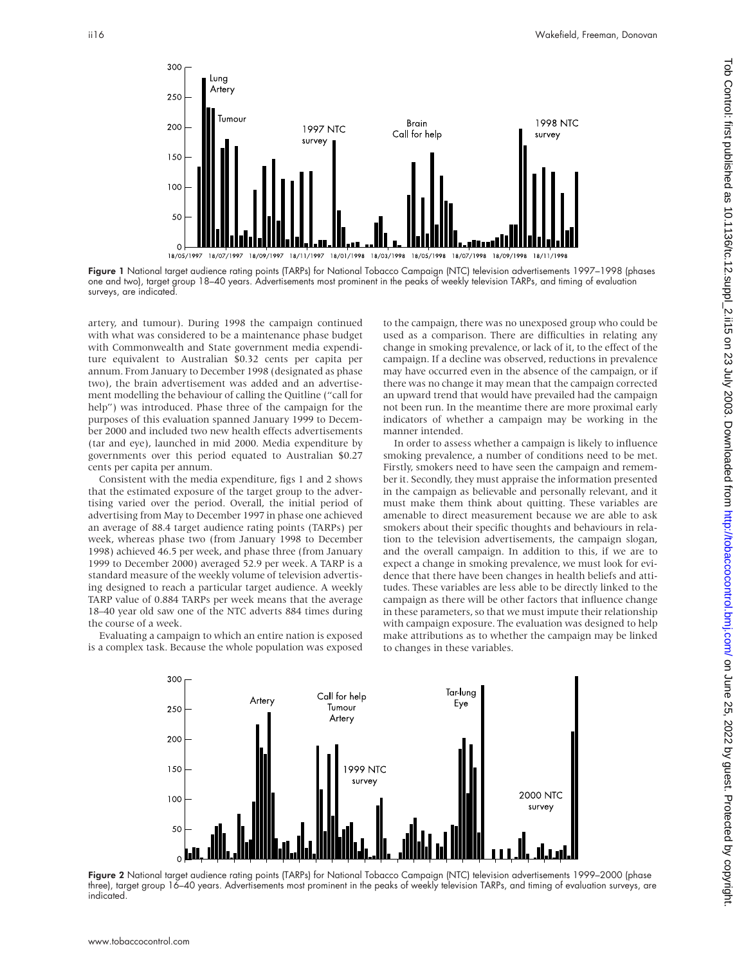

Figure 1 National target audience rating points (TARPs) for National Tobacco Campaign (NTC) television advertisements 1997–1998 (phases one and two), target group 18–40 years. Advertisements most prominent in the peaks of weekly television TARPs, and timing of evaluation surveys, are indicated.

artery, and tumour). During 1998 the campaign continued with what was considered to be a maintenance phase budget with Commonwealth and State government media expenditure equivalent to Australian \$0.32 cents per capita per annum. From January to December 1998 (designated as phase two), the brain advertisement was added and an advertisement modelling the behaviour of calling the Quitline ("call for help") was introduced. Phase three of the campaign for the purposes of this evaluation spanned January 1999 to December 2000 and included two new health effects advertisements (tar and eye), launched in mid 2000. Media expenditure by governments over this period equated to Australian \$0.27 cents per capita per annum.

Consistent with the media expenditure, figs 1 and 2 shows that the estimated exposure of the target group to the advertising varied over the period. Overall, the initial period of advertising from May to December 1997 in phase one achieved an average of 88.4 target audience rating points (TARPs) per week, whereas phase two (from January 1998 to December 1998) achieved 46.5 per week, and phase three (from January 1999 to December 2000) averaged 52.9 per week. A TARP is a standard measure of the weekly volume of television advertising designed to reach a particular target audience. A weekly TARP value of 0.884 TARPs per week means that the average 18–40 year old saw one of the NTC adverts 884 times during the course of a week.

Evaluating a campaign to which an entire nation is exposed is a complex task. Because the whole population was exposed to the campaign, there was no unexposed group who could be used as a comparison. There are difficulties in relating any change in smoking prevalence, or lack of it, to the effect of the campaign. If a decline was observed, reductions in prevalence may have occurred even in the absence of the campaign, or if there was no change it may mean that the campaign corrected an upward trend that would have prevailed had the campaign not been run. In the meantime there are more proximal early indicators of whether a campaign may be working in the manner intended.

In order to assess whether a campaign is likely to influence smoking prevalence, a number of conditions need to be met. Firstly, smokers need to have seen the campaign and remember it. Secondly, they must appraise the information presented in the campaign as believable and personally relevant, and it must make them think about quitting. These variables are amenable to direct measurement because we are able to ask smokers about their specific thoughts and behaviours in relation to the television advertisements, the campaign slogan, and the overall campaign. In addition to this, if we are to expect a change in smoking prevalence, we must look for evidence that there have been changes in health beliefs and attitudes. These variables are less able to be directly linked to the campaign as there will be other factors that influence change in these parameters, so that we must impute their relationship with campaign exposure. The evaluation was designed to help make attributions as to whether the campaign may be linked to changes in these variables.



Figure 2 National target audience rating points (TARPs) for National Tobacco Campaign (NTC) television advertisements 1999-2000 (phase three), target group 16–40 years. Advertisements most prominent in the peaks of weekly television TARPs, and timing of evaluation surveys, are indicated.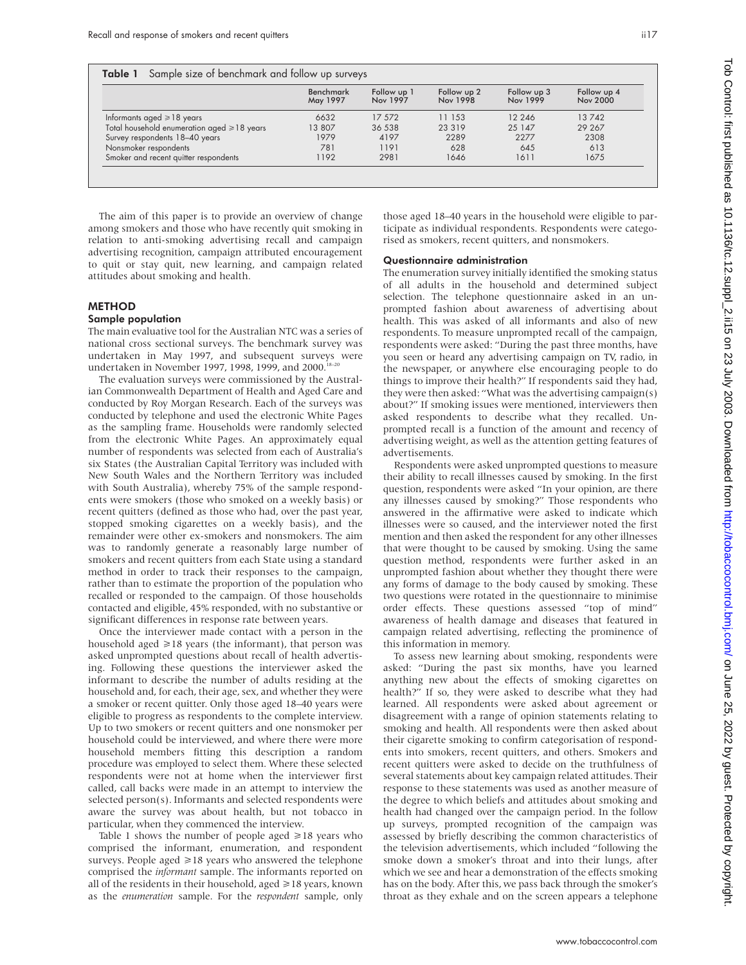Table 1 Sample size of benchmark and follow up surveys

|                                                  | <b>Benchmark</b><br>May 1997 | Follow up 1<br>Nov 1997 | Follow up 2<br>Nov 1998 | Follow up 3<br>Nov 1999 | Follow up 4<br><b>Nov 2000</b> |
|--------------------------------------------------|------------------------------|-------------------------|-------------------------|-------------------------|--------------------------------|
| Informants aged $\geq 18$ years                  | 6632                         | 17 572                  | 11 153                  | 12 246                  | 13742                          |
| Total household enumeration aged $\geq 18$ years | 13 807                       | 36 538                  | 23 3 19                 | 25 147                  | 29 267                         |
| Survey respondents 18-40 years                   | 1979                         | 4197                    | 2289                    | 2277                    | 2308                           |
| Nonsmoker respondents                            | 781                          | 1191                    | 628                     | 645                     | 613                            |
| Smoker and recent quitter respondents            | 1192                         | 2981                    | 1646                    | 1611                    | 1675                           |

The aim of this paper is to provide an overview of change among smokers and those who have recently quit smoking in relation to anti-smoking advertising recall and campaign advertising recognition, campaign attributed encouragement to quit or stay quit, new learning, and campaign related attitudes about smoking and health.

#### METHOD

### Sample population

The main evaluative tool for the Australian NTC was a series of national cross sectional surveys. The benchmark survey was undertaken in May 1997, and subsequent surveys were undertaken in November 1997, 1998, 1999, and 2000.<sup>18-20</sup>

The evaluation surveys were commissioned by the Australian Commonwealth Department of Health and Aged Care and conducted by Roy Morgan Research. Each of the surveys was conducted by telephone and used the electronic White Pages as the sampling frame. Households were randomly selected from the electronic White Pages. An approximately equal number of respondents was selected from each of Australia's six States (the Australian Capital Territory was included with New South Wales and the Northern Territory was included with South Australia), whereby 75% of the sample respondents were smokers (those who smoked on a weekly basis) or recent quitters (defined as those who had, over the past year, stopped smoking cigarettes on a weekly basis), and the remainder were other ex-smokers and nonsmokers. The aim was to randomly generate a reasonably large number of smokers and recent quitters from each State using a standard method in order to track their responses to the campaign, rather than to estimate the proportion of the population who recalled or responded to the campaign. Of those households contacted and eligible, 45% responded, with no substantive or significant differences in response rate between years.

Once the interviewer made contact with a person in the household aged  $\geq$ 18 years (the informant), that person was asked unprompted questions about recall of health advertising. Following these questions the interviewer asked the informant to describe the number of adults residing at the household and, for each, their age, sex, and whether they were a smoker or recent quitter. Only those aged 18–40 years were eligible to progress as respondents to the complete interview. Up to two smokers or recent quitters and one nonsmoker per household could be interviewed, and where there were more household members fitting this description a random procedure was employed to select them. Where these selected respondents were not at home when the interviewer first called, call backs were made in an attempt to interview the selected person(s). Informants and selected respondents were aware the survey was about health, but not tobacco in particular, when they commenced the interview.

Table 1 shows the number of people aged  $\geq 18$  years who comprised the informant, enumeration, and respondent surveys. People aged  $\geq 18$  years who answered the telephone comprised the *informant* sample. The informants reported on all of the residents in their household, aged  $\geq$  18 years, known as the *enumeration* sample. For the *respondent* sample, only those aged 18–40 years in the household were eligible to participate as individual respondents. Respondents were categorised as smokers, recent quitters, and nonsmokers.

#### Questionnaire administration

The enumeration survey initially identified the smoking status of all adults in the household and determined subject selection. The telephone questionnaire asked in an unprompted fashion about awareness of advertising about health. This was asked of all informants and also of new respondents. To measure unprompted recall of the campaign, respondents were asked: "During the past three months, have you seen or heard any advertising campaign on TV, radio, in the newspaper, or anywhere else encouraging people to do things to improve their health?" If respondents said they had, they were then asked: "What was the advertising campaign(s) about?" If smoking issues were mentioned, interviewers then asked respondents to describe what they recalled. Unprompted recall is a function of the amount and recency of advertising weight, as well as the attention getting features of advertisements.

Respondents were asked unprompted questions to measure their ability to recall illnesses caused by smoking. In the first question, respondents were asked "In your opinion, are there any illnesses caused by smoking?" Those respondents who answered in the affirmative were asked to indicate which illnesses were so caused, and the interviewer noted the first mention and then asked the respondent for any other illnesses that were thought to be caused by smoking. Using the same question method, respondents were further asked in an unprompted fashion about whether they thought there were any forms of damage to the body caused by smoking. These two questions were rotated in the questionnaire to minimise order effects. These questions assessed "top of mind" awareness of health damage and diseases that featured in campaign related advertising, reflecting the prominence of this information in memory.

To assess new learning about smoking, respondents were asked: "During the past six months, have you learned anything new about the effects of smoking cigarettes on health?" If so, they were asked to describe what they had learned. All respondents were asked about agreement or disagreement with a range of opinion statements relating to smoking and health. All respondents were then asked about their cigarette smoking to confirm categorisation of respondents into smokers, recent quitters, and others. Smokers and recent quitters were asked to decide on the truthfulness of several statements about key campaign related attitudes. Their response to these statements was used as another measure of the degree to which beliefs and attitudes about smoking and health had changed over the campaign period. In the follow up surveys, prompted recognition of the campaign was assessed by briefly describing the common characteristics of the television advertisements, which included "following the smoke down a smoker's throat and into their lungs, after which we see and hear a demonstration of the effects smoking has on the body. After this, we pass back through the smoker's throat as they exhale and on the screen appears a telephone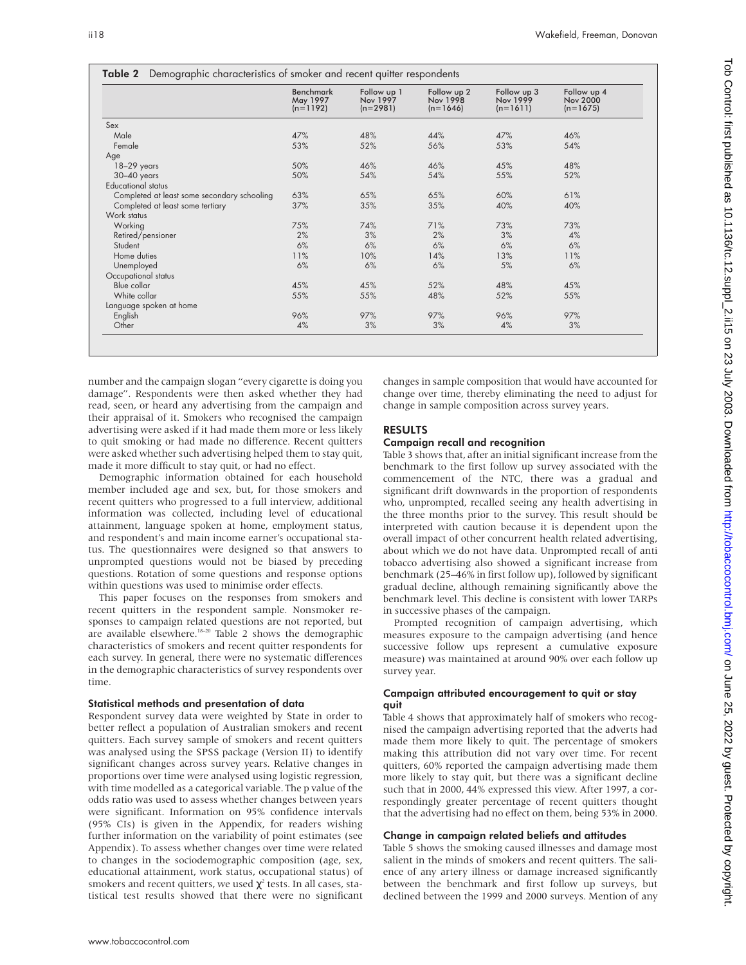|                                             | <b>Benchmark</b><br>May 1997<br>$(n=1192)$ | Follow up 1<br><b>Nov 1997</b><br>$(n=2981)$ | Follow up 2<br><b>Nov 1998</b><br>$(n=1646)$ | Follow up 3<br>Nov 1999<br>$(n=1611)$ | Follow up 4<br><b>Nov 2000</b><br>$(n=1675)$ |
|---------------------------------------------|--------------------------------------------|----------------------------------------------|----------------------------------------------|---------------------------------------|----------------------------------------------|
| Sex                                         |                                            |                                              |                                              |                                       |                                              |
| Male                                        | 47%                                        | 48%                                          | 44%                                          | 47%                                   | 46%                                          |
| Female                                      | 53%                                        | 52%                                          | 56%                                          | 53%                                   | 54%                                          |
| Age                                         |                                            |                                              |                                              |                                       |                                              |
| 18-29 years                                 | 50%                                        | 46%                                          | 46%                                          | 45%                                   | 48%                                          |
| $30-40$ years                               | 50%                                        | 54%                                          | 54%                                          | 55%                                   | 52%                                          |
| <b>Educational status</b>                   |                                            |                                              |                                              |                                       |                                              |
| Completed at least some secondary schooling | 63%                                        | 65%                                          | 65%                                          | 60%                                   | 61%                                          |
| Completed at least some tertiary            | 37%                                        | 35%                                          | 35%                                          | 40%                                   | 40%                                          |
| Work status                                 |                                            |                                              |                                              |                                       |                                              |
| Working                                     | 75%                                        | 74%                                          | 71%                                          | 73%                                   | 73%                                          |
| Retired/pensioner                           | 2%                                         | 3%                                           | 2%                                           | 3%                                    | 4%                                           |
| Student                                     | 6%                                         | 6%                                           | 6%                                           | 6%                                    | 6%                                           |
| Home duties                                 | 11%                                        | 10%                                          | 14%                                          | 13%                                   | 11%                                          |
| Unemployed                                  | 6%                                         | 6%                                           | 6%                                           | 5%                                    | 6%                                           |
| Occupational status                         |                                            |                                              |                                              |                                       |                                              |
| Blue collar                                 | 45%                                        | 45%                                          | 52%                                          | 48%                                   | 45%                                          |
| White collar                                | 55%                                        | 55%                                          | 48%                                          | 52%                                   | 55%                                          |
| Language spoken at home                     |                                            |                                              |                                              |                                       |                                              |
| English                                     | 96%                                        | 97%                                          | 97%                                          | 96%                                   | 97%                                          |
| Other                                       | 4%                                         | 3%                                           | 3%                                           | 4%                                    | 3%                                           |

number and the campaign slogan "every cigarette is doing you damage". Respondents were then asked whether they had read, seen, or heard any advertising from the campaign and their appraisal of it. Smokers who recognised the campaign advertising were asked if it had made them more or less likely to quit smoking or had made no difference. Recent quitters were asked whether such advertising helped them to stay quit, made it more difficult to stay quit, or had no effect.

Demographic information obtained for each household member included age and sex, but, for those smokers and recent quitters who progressed to a full interview, additional information was collected, including level of educational attainment, language spoken at home, employment status, and respondent's and main income earner's occupational status. The questionnaires were designed so that answers to unprompted questions would not be biased by preceding questions. Rotation of some questions and response options within questions was used to minimise order effects.

This paper focuses on the responses from smokers and recent quitters in the respondent sample. Nonsmoker responses to campaign related questions are not reported, but are available elsewhere.<sup>18–20</sup> Table 2 shows the demographic characteristics of smokers and recent quitter respondents for each survey. In general, there were no systematic differences in the demographic characteristics of survey respondents over time.

#### Statistical methods and presentation of data

Respondent survey data were weighted by State in order to better reflect a population of Australian smokers and recent quitters. Each survey sample of smokers and recent quitters was analysed using the SPSS package (Version II) to identify significant changes across survey years. Relative changes in proportions over time were analysed using logistic regression, with time modelled as a categorical variable. The p value of the odds ratio was used to assess whether changes between years were significant. Information on 95% confidence intervals (95% CIs) is given in the Appendix, for readers wishing further information on the variability of point estimates (see Appendix). To assess whether changes over time were related to changes in the sociodemographic composition (age, sex, educational attainment, work status, occupational status) of smokers and recent quitters, we used  $\chi^2$  tests. In all cases, statistical test results showed that there were no significant

changes in sample composition that would have accounted for change over time, thereby eliminating the need to adjust for change in sample composition across survey years.

#### RESULTS

#### Campaign recall and recognition

Table 3 shows that, after an initial significant increase from the benchmark to the first follow up survey associated with the commencement of the NTC, there was a gradual and significant drift downwards in the proportion of respondents who, unprompted, recalled seeing any health advertising in the three months prior to the survey. This result should be interpreted with caution because it is dependent upon the overall impact of other concurrent health related advertising, about which we do not have data. Unprompted recall of anti tobacco advertising also showed a significant increase from benchmark (25–46% in first follow up), followed by significant gradual decline, although remaining significantly above the benchmark level. This decline is consistent with lower TARPs in successive phases of the campaign.

Prompted recognition of campaign advertising, which measures exposure to the campaign advertising (and hence successive follow ups represent a cumulative exposure measure) was maintained at around 90% over each follow up survey year.

#### Campaign attributed encouragement to quit or stay quit

Table 4 shows that approximately half of smokers who recognised the campaign advertising reported that the adverts had made them more likely to quit. The percentage of smokers making this attribution did not vary over time. For recent quitters, 60% reported the campaign advertising made them more likely to stay quit, but there was a significant decline such that in 2000, 44% expressed this view. After 1997, a correspondingly greater percentage of recent quitters thought that the advertising had no effect on them, being 53% in 2000.

#### Change in campaign related beliefs and attitudes

Table 5 shows the smoking caused illnesses and damage most salient in the minds of smokers and recent quitters. The salience of any artery illness or damage increased significantly between the benchmark and first follow up surveys, but declined between the 1999 and 2000 surveys. Mention of any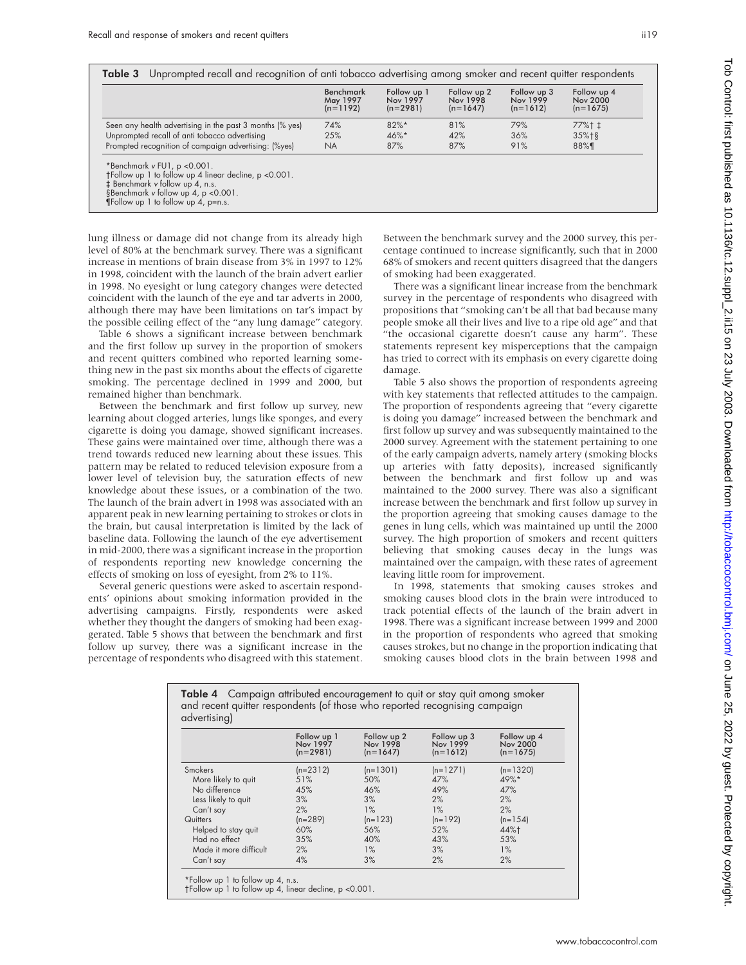|                                                          | Benchmark<br>May 1997<br>$(n=1192)$ | Follow up 1<br>Nov 1997<br>$(n=2981)$ | Follow up 2<br>Nov 1998<br>$(n=1647)$ | Follow up 3<br>Nov 1999<br>$(n=1612)$ | Follow up 4<br><b>Nov 2000</b><br>$(n=1675)$ |
|----------------------------------------------------------|-------------------------------------|---------------------------------------|---------------------------------------|---------------------------------------|----------------------------------------------|
| Seen any health advertising in the past 3 months (% yes) | 74%                                 | $82\%$ *                              | 81%                                   | 79%                                   | $77\%$ † ‡                                   |
| Unprompted recall of anti tobacco advertising            | 25%                                 | $46\%$ *                              | 42%                                   | 36%                                   | $35%$ <sup>1</sup> §                         |
| Prompted recognition of campaign advertising: (%yes)     | <b>NA</b>                           | 87%                                   | 87%                                   | 91%                                   | 88%¶                                         |

tinear decline, p <0.001.

‡ Benchmark <sup>v</sup> follow up 4, n.s. §Benchmark <sup>v</sup> follow up 4, p <0.001.

¶Follow up 1 to follow up 4, p=n.s.

lung illness or damage did not change from its already high level of 80% at the benchmark survey. There was a significant increase in mentions of brain disease from 3% in 1997 to 12% in 1998, coincident with the launch of the brain advert earlier in 1998. No eyesight or lung category changes were detected coincident with the launch of the eye and tar adverts in 2000, although there may have been limitations on tar's impact by the possible ceiling effect of the "any lung damage" category.

Table 6 shows a significant increase between benchmark and the first follow up survey in the proportion of smokers and recent quitters combined who reported learning something new in the past six months about the effects of cigarette smoking. The percentage declined in 1999 and 2000, but remained higher than benchmark.

Between the benchmark and first follow up survey, new learning about clogged arteries, lungs like sponges, and every cigarette is doing you damage, showed significant increases. These gains were maintained over time, although there was a trend towards reduced new learning about these issues. This pattern may be related to reduced television exposure from a lower level of television buy, the saturation effects of new knowledge about these issues, or a combination of the two. The launch of the brain advert in 1998 was associated with an apparent peak in new learning pertaining to strokes or clots in the brain, but causal interpretation is limited by the lack of baseline data. Following the launch of the eye advertisement in mid-2000, there was a significant increase in the proportion of respondents reporting new knowledge concerning the effects of smoking on loss of eyesight, from 2% to 11%.

Several generic questions were asked to ascertain respondents' opinions about smoking information provided in the advertising campaigns. Firstly, respondents were asked whether they thought the dangers of smoking had been exaggerated. Table 5 shows that between the benchmark and first follow up survey, there was a significant increase in the percentage of respondents who disagreed with this statement.

Between the benchmark survey and the 2000 survey, this percentage continued to increase significantly, such that in 2000 68% of smokers and recent quitters disagreed that the dangers of smoking had been exaggerated.

There was a significant linear increase from the benchmark survey in the percentage of respondents who disagreed with propositions that "smoking can't be all that bad because many people smoke all their lives and live to a ripe old age" and that "the occasional cigarette doesn't cause any harm". These statements represent key misperceptions that the campaign has tried to correct with its emphasis on every cigarette doing damage.

Table 5 also shows the proportion of respondents agreeing with key statements that reflected attitudes to the campaign. The proportion of respondents agreeing that "every cigarette is doing you damage" increased between the benchmark and first follow up survey and was subsequently maintained to the 2000 survey. Agreement with the statement pertaining to one of the early campaign adverts, namely artery (smoking blocks up arteries with fatty deposits), increased significantly between the benchmark and first follow up and was maintained to the 2000 survey. There was also a significant increase between the benchmark and first follow up survey in the proportion agreeing that smoking causes damage to the genes in lung cells, which was maintained up until the 2000 survey. The high proportion of smokers and recent quitters believing that smoking causes decay in the lungs was maintained over the campaign, with these rates of agreement leaving little room for improvement.

In 1998, statements that smoking causes strokes and smoking causes blood clots in the brain were introduced to track potential effects of the launch of the brain advert in 1998. There was a significant increase between 1999 and 2000 in the proportion of respondents who agreed that smoking causes strokes, but no change in the proportion indicating that smoking causes blood clots in the brain between 1998 and

|                        | Follow up 1<br>Nov 1997<br>$(n=2981)$ | Follow up 2<br>Nov 1998<br>$(n=1647)$ | Follow up 3<br>Nov 1999<br>$(n=1612)$ | Follow up 4<br><b>Nov 2000</b><br>$(n=1675)$ |
|------------------------|---------------------------------------|---------------------------------------|---------------------------------------|----------------------------------------------|
| <b>Smokers</b>         | $(n=2312)$                            | $(n=1301)$                            | $(n=1271)$                            | (n=1320)                                     |
| More likely to quit    | 51%                                   | 50%                                   | 47%                                   | 49%*                                         |
| No difference          | 45%                                   | 46%                                   | 49%                                   | 47%                                          |
| Less likely to quit    | 3%                                    | 3%                                    | 2%                                    | 2%                                           |
| Can't say              | 2%                                    | $1\%$                                 | $1\%$                                 | 2%                                           |
| Quitters               | $(n=289)$                             | $(n=123)$                             | $(n=192)$                             | $(n=154)$                                    |
| Helped to stay quit    | 60%                                   | 56%                                   | 52%                                   | 44%+                                         |
| Had no effect          | 35%                                   | 40%                                   | 43%                                   | 53%                                          |
| Made it more difficult | 2%                                    | $1\%$                                 | 3%                                    | $1\%$                                        |
| Can't say              | 4%                                    | 3%                                    | 2%                                    | 2%                                           |

 on June 25, 2022 by guest. Protected by copyright. <http://tobaccocontrol.bmj.com/> Tob Control: first published as 10.1136/tc.12.suppl\_2.ii15 on 23 July 2003. Downloaded from Tob Control: first published as 10.1136/tc.12.suppl\_2.ii15 on 29 July 2003. Downloaded from http://tobaccocontrol.bm/.com/ on June 25, 2022 by guest. Protected by copyright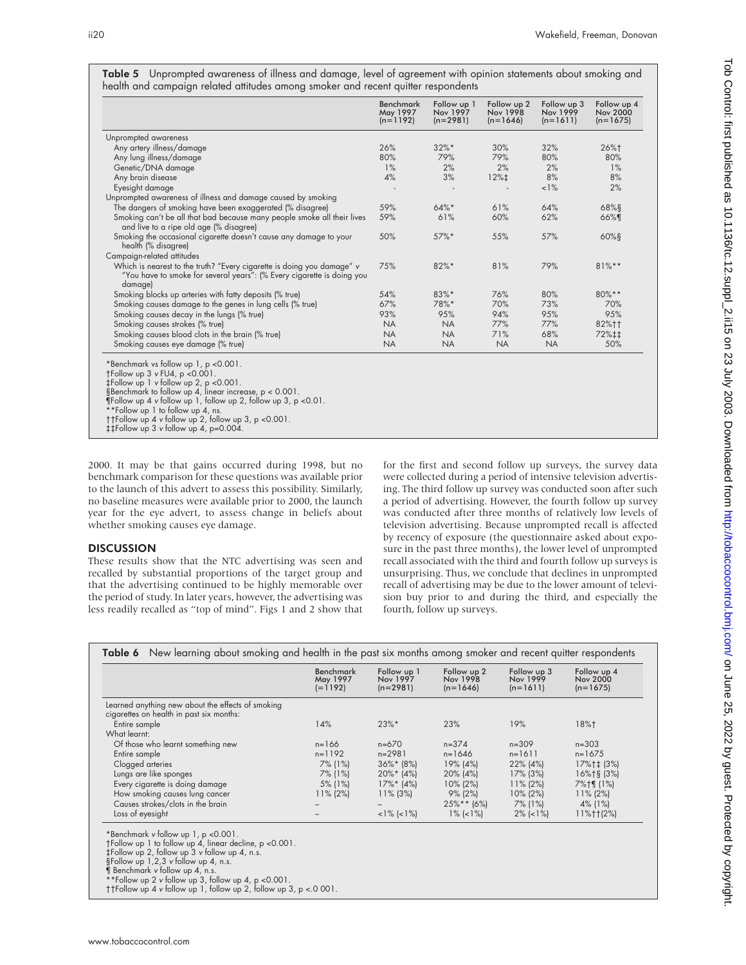| Table 5 Unprompted awareness of illness and damage, level of agreement with opinion statements about smoking and |  |  |  |  |  |
|------------------------------------------------------------------------------------------------------------------|--|--|--|--|--|
| health and campaign related attitudes among smoker and recent quitter respondents                                |  |  |  |  |  |

|                                                                                                                                                             | <b>Benchmark</b><br>May 1997<br>$(n=1192)$ | Follow up 1<br>Nov 1997<br>$(n=2981)$ | Follow up 2<br>Nov 1998<br>$(n=1646)$ | Follow up 3<br>Nov 1999<br>$(n=1611)$ | Follow up 4<br>Nov 2000<br>$(n=1675)$ |
|-------------------------------------------------------------------------------------------------------------------------------------------------------------|--------------------------------------------|---------------------------------------|---------------------------------------|---------------------------------------|---------------------------------------|
| Unprompted awareness                                                                                                                                        |                                            |                                       |                                       |                                       |                                       |
| Any artery illness/damage                                                                                                                                   | 26%                                        | $32\%*$                               | 30%                                   | 32%                                   | 26%†                                  |
| Any lung illness/damage                                                                                                                                     | 80%                                        | 79%                                   | 79%                                   | 80%                                   | 80%                                   |
| Genetic/DNA damage                                                                                                                                          | 1%                                         | 2%                                    | 2%                                    | 2%                                    | 1%                                    |
| Any brain disease                                                                                                                                           | 4%                                         | 3%                                    | $12% \downarrow$                      | 8%                                    | 8%                                    |
| Eyesight damage                                                                                                                                             |                                            |                                       |                                       | $1\%$                                 | 2%                                    |
| Unprompted awareness of illness and damage caused by smoking                                                                                                |                                            |                                       |                                       |                                       |                                       |
| The dangers of smoking have been exaggerated (% disagree)                                                                                                   | 59%                                        | $64\%$ *                              | 61%                                   | 64%                                   | 68%§                                  |
| Smoking can't be all that bad because many people smoke all their lives<br>and live to a ripe old age (% disagree)                                          | 59%                                        | 61%                                   | 60%                                   | 62%                                   | 66%¶                                  |
| Smoking the occasional cigarette doesn't cause any damage to your<br>health (% disagree)                                                                    | 50%                                        | 57%*                                  | 55%                                   | 57%                                   | $60%$ §                               |
| Campaign-related attitudes                                                                                                                                  |                                            |                                       |                                       |                                       |                                       |
| Which is nearest to the truth? "Every cigarette is doing you damage" v<br>"You have to smoke for several years": (% Every cigarette is doing you<br>damage) | 75%                                        | 82%*                                  | 81%                                   | 79%                                   | $81%$ **                              |
| Smoking blocks up arteries with fatty deposits (% true)                                                                                                     | 54%                                        | 83%*                                  | 76%                                   | 80%                                   | 80%**                                 |
| Smoking causes damage to the genes in lung cells (% true)                                                                                                   | 67%                                        | 78%*                                  | 70%                                   | 73%                                   | 70%                                   |
| Smoking causes decay in the lungs (% true)                                                                                                                  | 93%                                        | 95%                                   | 94%                                   | 95%                                   | 95%                                   |
| Smoking causes strokes (% true)                                                                                                                             | <b>NA</b>                                  | <b>NA</b>                             | 77%                                   | 77%                                   | 82%††                                 |
| Smoking causes blood clots in the brain (% true)                                                                                                            | <b>NA</b>                                  | <b>NA</b>                             | 71%                                   | 68%                                   | 72%‡‡                                 |
| Smoking causes eye damage (% true)                                                                                                                          | <b>NA</b>                                  | <b>NA</b>                             | <b>NA</b>                             | <b>NA</b>                             | 50%                                   |

¶Follow up 4 v follow up 1, follow up 2, follow up 3, p <0.01.<br>\*\*Follow up 1 to follow up 4, ns.<br>††Follow up 4 v follow up 2, follow up 3, p <0.001.<br>‡‡Follow up 4 v follow up 4, p=0.004.

2000. It may be that gains occurred during 1998, but no benchmark comparison for these questions was available prior to the launch of this advert to assess this possibility. Similarly, no baseline measures were available prior to 2000, the launch year for the eye advert, to assess change in beliefs about whether smoking causes eye damage.

#### **DISCUSSION**

These results show that the NTC advertising was seen and recalled by substantial proportions of the target group and that the advertising continued to be highly memorable over the period of study. In later years, however, the advertising was less readily recalled as "top of mind". Figs 1 and 2 show that for the first and second follow up surveys, the survey data were collected during a period of intensive television advertising. The third follow up survey was conducted soon after such a period of advertising. However, the fourth follow up survey was conducted after three months of relatively low levels of television advertising. Because unprompted recall is affected by recency of exposure (the questionnaire asked about exposure in the past three months), the lower level of unprompted recall associated with the third and fourth follow up surveys is unsurprising. Thus, we conclude that declines in unprompted recall of advertising may be due to the lower amount of television buy prior to and during the third, and especially the fourth, follow up surveys.

|                                                                                               | <b>Benchmark</b><br>May 1997<br>$(=1192)$ | Follow up 1<br>Nov 1997<br>$(n=2981)$ | Follow up 2<br>Nov 1998<br>$(n=1646)$ | Follow up 3<br>Nov 1999<br>$(n=1611)$ | Follow up 4<br>Nov 2000<br>$(n=1675)$ |
|-----------------------------------------------------------------------------------------------|-------------------------------------------|---------------------------------------|---------------------------------------|---------------------------------------|---------------------------------------|
| Learned anything new about the effects of smoking<br>cigarettes on health in past six months: |                                           |                                       |                                       |                                       |                                       |
| Entire sample                                                                                 | 14%                                       | $23\%$ *                              | 23%                                   | 19%                                   | 18%†                                  |
| What learnt:                                                                                  |                                           |                                       |                                       |                                       |                                       |
| Of those who learnt something new                                                             | $n = 166$                                 | $n=670$                               | $n = 374$                             | $n = 309$                             | $n = 303$                             |
| Entire sample                                                                                 | $n=1192$                                  | $n = 2981$                            | $n = 1646$                            | $n = 1611$                            | $n = 1675$                            |
| Clogged arteries                                                                              | 7% (1%)                                   | $36\%*$ (8%)                          | 19% (4%)                              | $22\%$ (4%)                           | 17%†‡ (3%)                            |
| Lungs are like sponges                                                                        | 7% (1%)                                   | $20\%*$ (4%)                          | $20\%$ (4%)                           | $17\%$ (3%)                           | 16%+§ (3%)                            |
| Every cigarette is doing damage                                                               | 5% (1%)                                   | $17\%*$ (4%)                          | $10\%$ (2%)                           | $11\%$ (2%)                           | 7%†¶ (1%)                             |
| How smoking causes lung cancer                                                                | $11\%$ (2%)                               | $11\%$ (3%)                           | $9\%$ (2%)                            | $10\%$ (2%)                           | $11\%$ (2%)                           |
| Causes strokes/clots in the brain                                                             |                                           |                                       | $25\%**$ (6%)                         | 7% (1%)                               | 4% (1%)                               |
| Loss of eyesight                                                                              |                                           | $<1\%$ ( $<1\%$ )                     | $1\%$ (<1\%)                          | $2\%$ (<1%)                           | $11\%$ ††(2%)                         |

‡Follow up 2, follow up 3 <sup>v</sup> follow up 4, n.s. §Follow up 1,2,3 <sup>v</sup> follow up 4, n.s.

\*\*Follow up 2 <sup>v</sup> follow up 3, follow up 4, p <0.001. ††Follow up 4 <sup>v</sup> follow up 1, follow up 2, follow up 3, p <.0 001.

**F** Benchmark v follow up 4, n.s.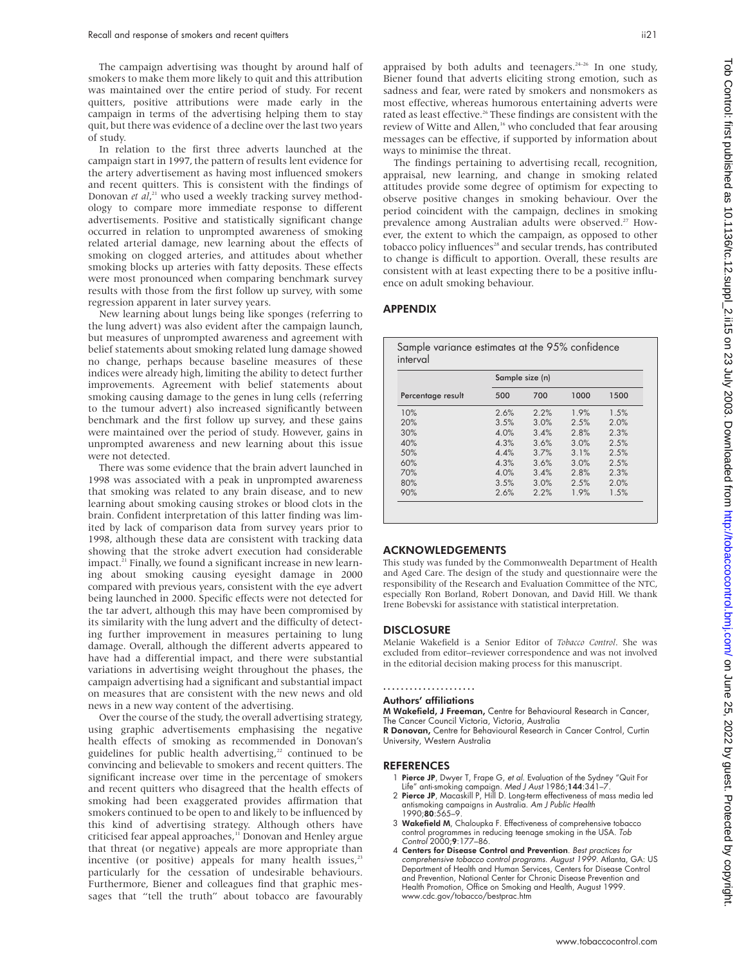The campaign advertising was thought by around half of smokers to make them more likely to quit and this attribution was maintained over the entire period of study. For recent quitters, positive attributions were made early in the campaign in terms of the advertising helping them to stay quit, but there was evidence of a decline over the last two years of study.

In relation to the first three adverts launched at the campaign start in 1997, the pattern of results lent evidence for the artery advertisement as having most influenced smokers and recent quitters. This is consistent with the findings of Donovan et al,<sup>21</sup> who used a weekly tracking survey methodology to compare more immediate response to different advertisements. Positive and statistically significant change occurred in relation to unprompted awareness of smoking related arterial damage, new learning about the effects of smoking on clogged arteries, and attitudes about whether smoking blocks up arteries with fatty deposits. These effects were most pronounced when comparing benchmark survey results with those from the first follow up survey, with some regression apparent in later survey years.

New learning about lungs being like sponges (referring to the lung advert) was also evident after the campaign launch, but measures of unprompted awareness and agreement with belief statements about smoking related lung damage showed no change, perhaps because baseline measures of these indices were already high, limiting the ability to detect further improvements. Agreement with belief statements about smoking causing damage to the genes in lung cells (referring to the tumour advert) also increased significantly between benchmark and the first follow up survey, and these gains were maintained over the period of study. However, gains in unprompted awareness and new learning about this issue were not detected.

There was some evidence that the brain advert launched in 1998 was associated with a peak in unprompted awareness that smoking was related to any brain disease, and to new learning about smoking causing strokes or blood clots in the brain. Confident interpretation of this latter finding was limited by lack of comparison data from survey years prior to 1998, although these data are consistent with tracking data showing that the stroke advert execution had considerable impact.<sup>21</sup> Finally, we found a significant increase in new learning about smoking causing eyesight damage in 2000 compared with previous years, consistent with the eye advert being launched in 2000. Specific effects were not detected for the tar advert, although this may have been compromised by its similarity with the lung advert and the difficulty of detecting further improvement in measures pertaining to lung damage. Overall, although the different adverts appeared to have had a differential impact, and there were substantial variations in advertising weight throughout the phases, the campaign advertising had a significant and substantial impact on measures that are consistent with the new news and old news in a new way content of the advertising.

Over the course of the study, the overall advertising strategy, using graphic advertisements emphasising the negative health effects of smoking as recommended in Donovan's guidelines for public health advertising,<sup>22</sup> continued to be convincing and believable to smokers and recent quitters. The significant increase over time in the percentage of smokers and recent quitters who disagreed that the health effects of smoking had been exaggerated provides affirmation that smokers continued to be open to and likely to be influenced by this kind of advertising strategy. Although others have criticised fear appeal approaches,<sup>11</sup> Donovan and Henley argue that threat (or negative) appeals are more appropriate than incentive (or positive) appeals for many health issues, $23$ particularly for the cessation of undesirable behaviours. Furthermore, Biener and colleagues find that graphic messages that "tell the truth" about tobacco are favourably

appraised by both adults and teenagers.<sup>24-26</sup> In one study, Biener found that adverts eliciting strong emotion, such as sadness and fear, were rated by smokers and nonsmokers as most effective, whereas humorous entertaining adverts were rated as least effective.<sup>26</sup> These findings are consistent with the review of Witte and Allen,<sup>16</sup> who concluded that fear arousing messages can be effective, if supported by information about ways to minimise the threat.

The findings pertaining to advertising recall, recognition, appraisal, new learning, and change in smoking related attitudes provide some degree of optimism for expecting to observe positive changes in smoking behaviour. Over the period coincident with the campaign, declines in smoking prevalence among Australian adults were observed.<sup>27</sup> However, the extent to which the campaign, as opposed to other tobacco policy influences<sup>28</sup> and secular trends, has contributed to change is difficult to apportion. Overall, these results are consistent with at least expecting there to be a positive influence on adult smoking behaviour.

## APPENDIX

|                   | Sample size (n) |      |      |      |  |  |  |
|-------------------|-----------------|------|------|------|--|--|--|
| Percentage result | 500             | 700  | 1000 | 1500 |  |  |  |
| 10%               | 2.6%            | 2.2% | 1.9% | 1.5% |  |  |  |
| 20%               | 3.5%            | 3.0% | 2.5% | 2.0% |  |  |  |
| 30%               | 4.0%            | 3.4% | 2.8% | 2.3% |  |  |  |
| 40%               | 4.3%            | 3.6% | 3.0% | 2.5% |  |  |  |
| 50%               | 4.4%            | 3.7% | 3.1% | 2.5% |  |  |  |
| 60%               | 4.3%            | 3.6% | 3.0% | 2.5% |  |  |  |
| 70%               | 4.0%            | 34%  | 2.8% | 2.3% |  |  |  |
| 80%               | 3.5%            | 3.0% | 2.5% | 2.0% |  |  |  |
| 90%               | 2.6%            | 2.2% | 19%  | 1.5% |  |  |  |

#### ACKNOWLEDGEMENTS

This study was funded by the Commonwealth Department of Health and Aged Care. The design of the study and questionnaire were the responsibility of the Research and Evaluation Committee of the NTC, especially Ron Borland, Robert Donovan, and David Hill. We thank Irene Bobevski for assistance with statistical interpretation.

### **DISCLOSURE**

Melanie Wakefield is a Senior Editor of *Tobacco Control*. She was excluded from editor–reviewer correspondence and was not involved in the editorial decision making process for this manuscript.

## .....................

## Authors' affiliations

M Wakefield, J Freeman, Centre for Behavioural Research in Cancer, The Cancer Council Victoria, Victoria, Australia<br>**R Donovan,** Centre for Behavioural Research in Cancer Control, Curtin

University, Western Australia

#### REFERENCES

- 1 Pierce JP, Dwyer T, Frape G, et al. Evaluation of the Sydney "Quit For
- Life" anti-smoking campaign. *Med J Aust* 1986;**144**:341–7.<br>2 **Pierce JP**, Macaskill P, Hill D. Long-term effectiveness of mass media led antismoking campaigns in Australia. Am J Public Health 1990;80:565–9.
- 3 Wakefield M, Chaloupka F. Effectiveness of comprehensive tobacco control programmes in reducing teenage smoking in the USA. Tob Control 2000;9:177–86.
- 4 Centers for Disease Control and Prevention. Best practices for comprehensive tobacco control programs. August 1999. Atlanta, GA: US Department of Health and Human Services, Centers for Disease Control and Prevention, National Center for Chronic Disease Prevention and Health Promotion, Office on Smoking and Health, August 1999. www.cdc.gov/tobacco/bestprac.htm